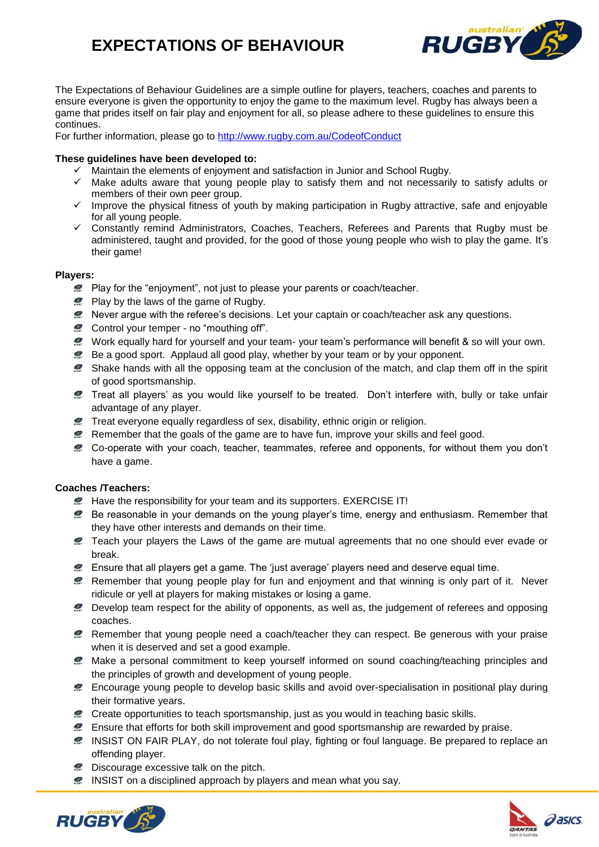# **EXPECTATIONS OF BEHAVIOUR**



The Expectations of Behaviour Guidelines are a simple outline for players, teachers, coaches and parents to ensure everyone is given the opportunity to enjoy the game to the maximum level. Rugby has always been a game that prides itself on fair play and enjoyment for all, so please adhere to these guidelines to ensure this continues.

For further information, please go to [http://www.rugby.com.au/CodeofConduct](http://www.rugby.com.au/runningrugby/PolicyRegister/CodeofConduct.aspx)

#### **These guidelines have been developed to:**

- $\checkmark$  Maintain the elements of enjoyment and satisfaction in Junior and School Rugby.
- $\checkmark$  Make adults aware that young people play to satisfy them and not necessarily to satisfy adults or members of their own peer group.
- $\checkmark$  Improve the physical fitness of youth by making participation in Rugby attractive, safe and enjoyable for all young people.
- $\checkmark$  Constantly remind Administrators, Coaches, Teachers, Referees and Parents that Rugby must be administered, taught and provided, for the good of those young people who wish to play the game. It's their game!

#### **Players:**

- **Play for the "enjoyment", not just to please your parents or coach/teacher.**
- Play by the laws of the game of Rugby.
- Never argue with the referee's decisions. Let your captain or coach/teacher ask any questions.
- **2** Control your temper no "mouthing off".
- Work equally hard for yourself and your team- your team's performance will benefit & so will your own.
- Be a good sport. Applaud all good play, whether by your team or by your opponent.
- Shake hands with all the opposing team at the conclusion of the match, and clap them off in the spirit of good sportsmanship.
- Treat all players' as you would like yourself to be treated. Don't interfere with, bully or take unfair advantage of any player.
- **2** Treat everyone equally regardless of sex, disability, ethnic origin or religion.
- **P** Remember that the goals of the game are to have fun, improve your skills and feel good.
- Co-operate with your coach, teacher, teammates, referee and opponents, for without them you don't have a game.

#### **Coaches /Teachers:**

- **2** Have the responsibility for your team and its supporters. EXERCISE IT!
- **Be reasonable in your demands on the young player's time, energy and enthusiasm. Remember that** they have other interests and demands on their time.
- **2** Teach your players the Laws of the game are mutual agreements that no one should ever evade or break.
- Ensure that all players get a game. The 'just average' players need and deserve equal time.
- Remember that young people play for fun and enjoyment and that winning is only part of it. Never ridicule or yell at players for making mistakes or losing a game.
- Develop team respect for the ability of opponents, as well as, the judgement of referees and opposing coaches.
- Remember that young people need a coach/teacher they can respect. Be generous with your praise when it is deserved and set a good example.
- Make a personal commitment to keep yourself informed on sound coaching/teaching principles and the principles of growth and development of young people.
- Encourage young people to develop basic skills and avoid over-specialisation in positional play during their formative years.
- Create opportunities to teach sportsmanship, just as you would in teaching basic skills.
- Ensure that efforts for both skill improvement and good sportsmanship are rewarded by praise.
- **2** INSIST ON FAIR PLAY, do not tolerate foul play, fighting or foul language. Be prepared to replace an offending player.
- **2** Discourage excessive talk on the pitch.
- **2** INSIST on a disciplined approach by players and mean what you say.



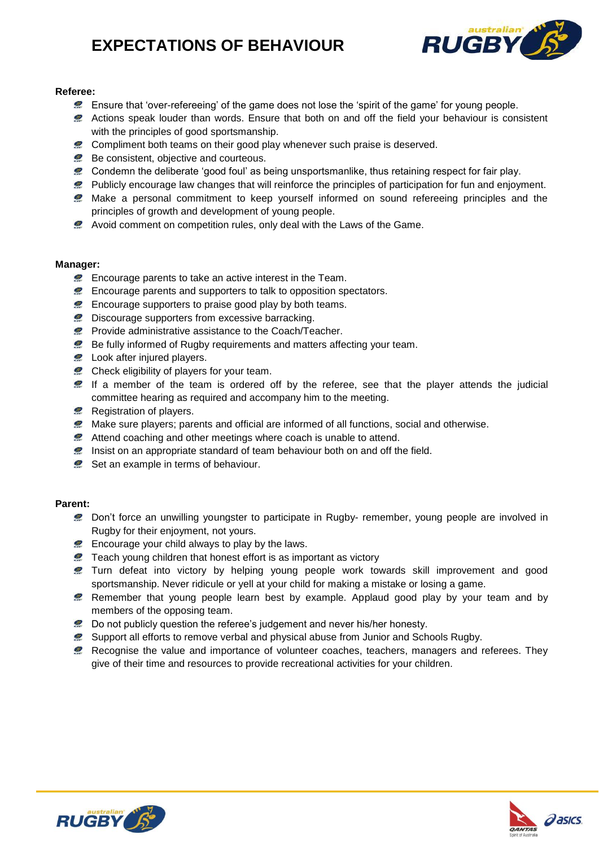## **EXPECTATIONS OF BEHAVIOUR**



#### **Referee:**

- Ensure that 'over-refereeing' of the game does not lose the 'spirit of the game' for young people.
- **2** Actions speak louder than words. Ensure that both on and off the field your behaviour is consistent with the principles of good sportsmanship.
- **2** Compliment both teams on their good play whenever such praise is deserved.
- Be consistent, objective and courteous.
- Condemn the deliberate 'good foul' as being unsportsmanlike, thus retaining respect for fair play.
- Publicly encourage law changes that will reinforce the principles of participation for fun and enjoyment.
- Make a personal commitment to keep yourself informed on sound refereeing principles and the principles of growth and development of young people.
- Avoid comment on competition rules, only deal with the Laws of the Game.

#### **Manager:**

- **Encourage parents to take an active interest in the Team.**
- **Encourage parents and supporters to talk to opposition spectators.**
- **2** Encourage supporters to praise good play by both teams.
- **2** Discourage supporters from excessive barracking.
- **Provide administrative assistance to the Coach/Teacher.**
- **Be fully informed of Rugby requirements and matters affecting your team.**
- **2** Look after injured players.
- **Check eligibility of players for your team.**
- $\blacktriangleright$  If a member of the team is ordered off by the referee, see that the player attends the judicial committee hearing as required and accompany him to the meeting.
- Registration of players.
- **2** Make sure players; parents and official are informed of all functions, social and otherwise.
- Attend coaching and other meetings where coach is unable to attend.
- **2** Insist on an appropriate standard of team behaviour both on and off the field.
- Set an example in terms of behaviour.

#### **Parent:**

- **2** Don't force an unwilling youngster to participate in Rugby- remember, young people are involved in Rugby for their enjoyment, not yours.
- **Encourage your child always to play by the laws.**
- **2** Teach young children that honest effort is as important as victory
- **2** Turn defeat into victory by helping young people work towards skill improvement and good sportsmanship. Never ridicule or yell at your child for making a mistake or losing a game.
- **P** Remember that young people learn best by example. Applaud good play by your team and by members of the opposing team.
- Do not publicly question the referee's judgement and never his/her honesty.
- **2** Support all efforts to remove verbal and physical abuse from Junior and Schools Rugby.
- **Recognise the value and importance of volunteer coaches, teachers, managers and referees. They** give of their time and resources to provide recreational activities for your children.